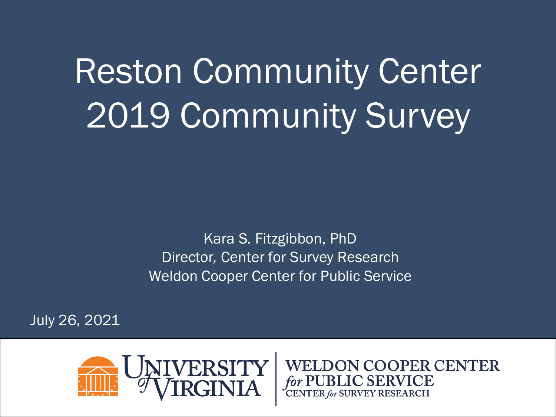Reston Community Center 2019 Community Survey

> Kara S. Fitzgibbon, PhD Director*,* Center for Survey Research Weldon Cooper Center for Public Service

July 26, 2021



**WELDON COOPER CENTER**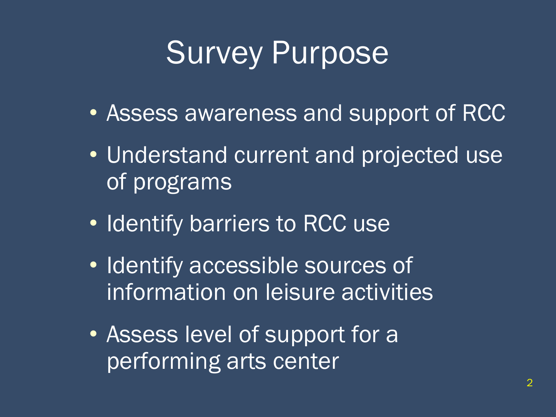### Survey Purpose

- Assess awareness and support of RCC
- Understand current and projected use of programs
- Identify barriers to RCC use
- Identify accessible sources of information on leisure activities
- Assess level of support for a performing arts center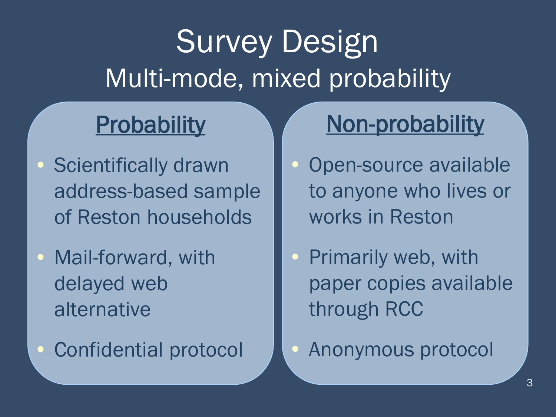## Survey Design Multi-mode, mixed probability

### **Probability**

- **Scientifically drawn** address-based sample of Reston households
- Mail-forward, with delayed web alternative
- Confidential protocol

### Non-probability

- Open-source available to anyone who lives or works in Reston
- Primarily web, with paper copies available through RCC
- Anonymous protocol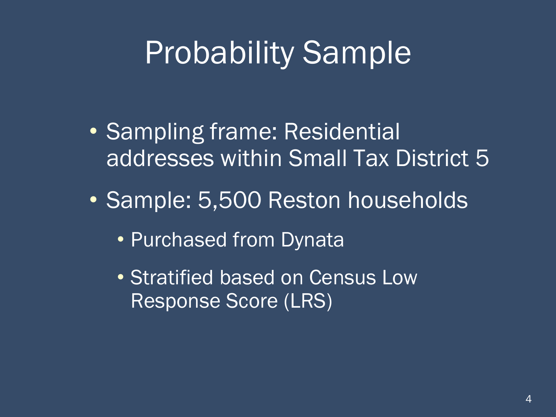### Probability Sample

- Sampling frame: Residential addresses within Small Tax District 5
- Sample: 5,500 Reston households
	- Purchased from Dynata
	- Stratified based on Census Low Response Score (LRS)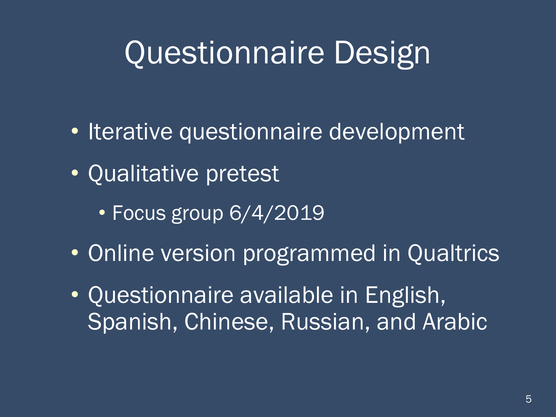## Questionnaire Design

- Iterative questionnaire development
- Qualitative pretest
	- Focus group 6/4/2019
- Online version programmed in Qualtrics
- Questionnaire available in English, Spanish, Chinese, Russian, and Arabic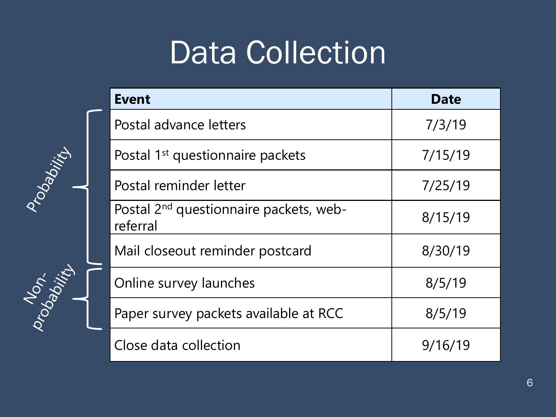### Data Collection

Probability

Probability

| <b>Event</b>                                                   | <b>Date</b> |
|----------------------------------------------------------------|-------------|
| Postal advance letters                                         | 7/3/19      |
| Postal 1 <sup>st</sup> questionnaire packets                   | 7/15/19     |
| Postal reminder letter                                         | 7/25/19     |
| Postal 2 <sup>nd</sup> questionnaire packets, web-<br>referral | 8/15/19     |
| Mail closeout reminder postcard                                | 8/30/19     |
| Online survey launches                                         | 8/5/19      |
| Paper survey packets available at RCC                          | 8/5/19      |
| Close data collection                                          | 9/16/19     |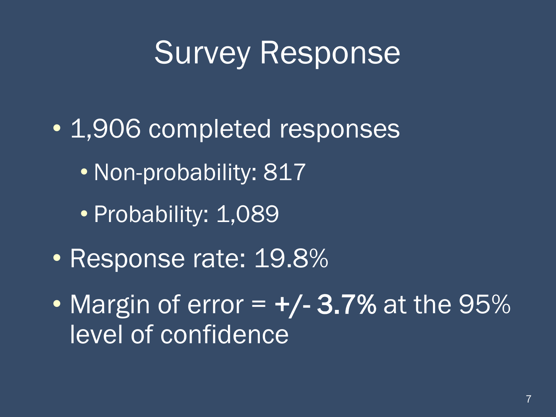### Survey Response

- 1,906 completed responses
	- Non-probability: 817
	- Probability: 1,089
- Response rate: 19.8%
- Margin of error  $= +/- 3.7\%$  at the 95% level of confidence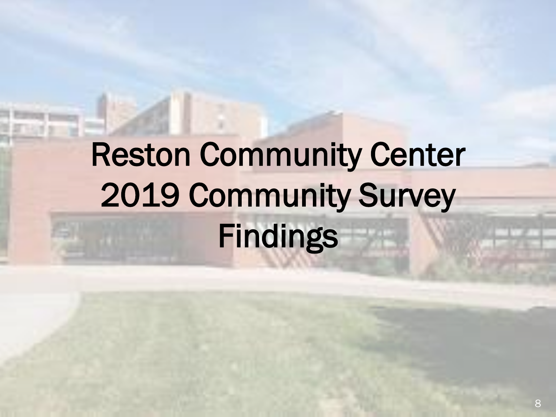# Reston Community Center 2019 Community Survey Findings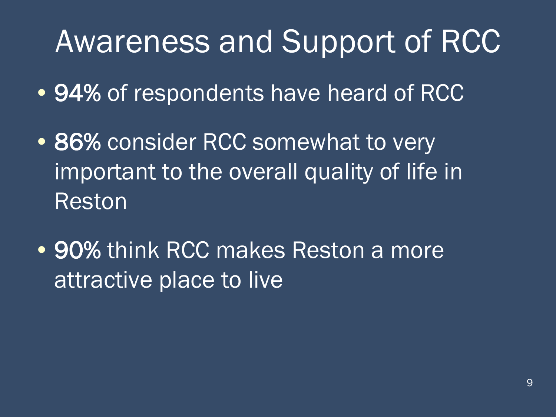### Awareness and Support of RCC

- 94% of respondents have heard of RCC
- 86% consider RCC somewhat to very important to the overall quality of life in Reston
- 90% think RCC makes Reston a more attractive place to live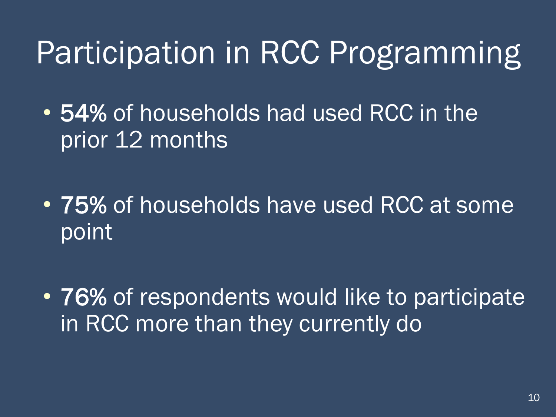### Participation in RCC Programming

• 54% of households had used RCC in the prior 12 months

- 75% of households have used RCC at some point
- 76% of respondents would like to participate in RCC more than they currently do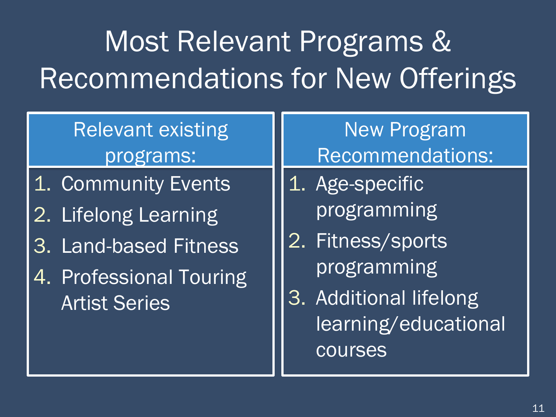## Most Relevant Programs & Recommendations for New Offerings

#### Relevant existing programs:

- 1. Community Events
- 2. Lifelong Learning
- 3. Land-based Fitness
- 4. Professional Touring Artist Series

New Program Recommendations:

- 1. Age-specific programming
- 2. Fitness/sports programming
- 3. Additional lifelong learning/educational courses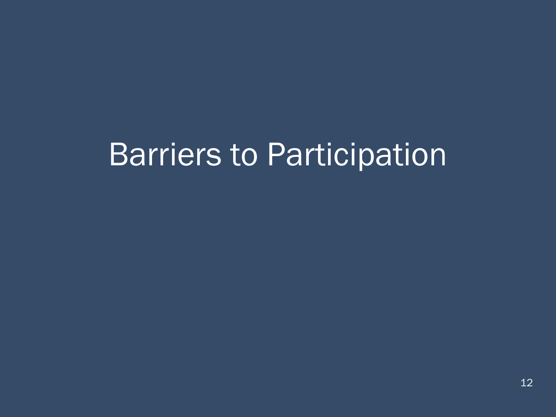### Barriers to Participation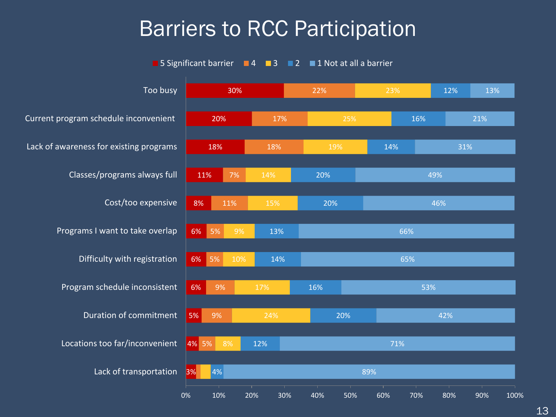#### Barriers to RCC Participation

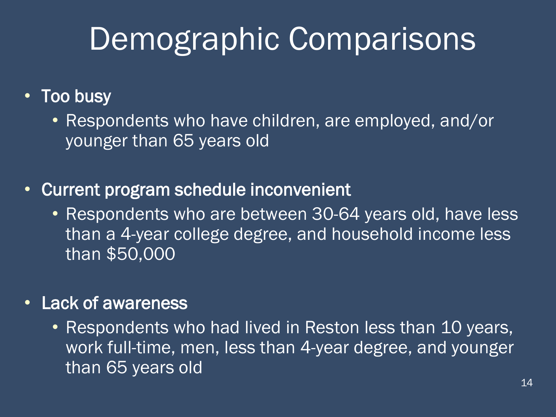## Demographic Comparisons

#### • Too busy

• Respondents who have children, are employed, and/or younger than 65 years old

- Current program schedule inconvenient
	- Respondents who are between 30-64 years old, have less than a 4-year college degree, and household income less than \$50,000

#### • Lack of awareness

• Respondents who had lived in Reston less than 10 years, work full-time, men, less than 4-year degree, and younger than 65 years old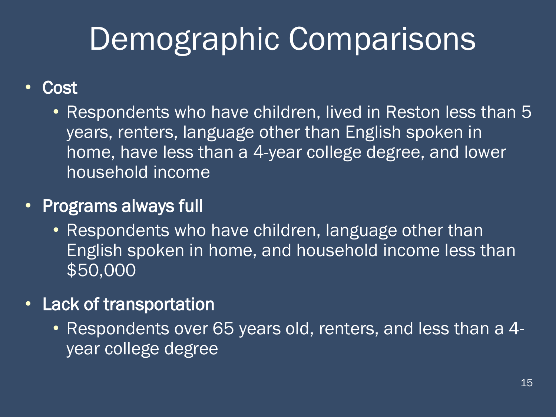# Demographic Comparisons

#### • Cost

• Respondents who have children, lived in Reston less than 5 years, renters, language other than English spoken in home, have less than a 4-year college degree, and lower household income

#### • Programs always full

• Respondents who have children, language other than English spoken in home, and household income less than \$50,000

#### • Lack of transportation

• Respondents over 65 years old, renters, and less than a 4 year college degree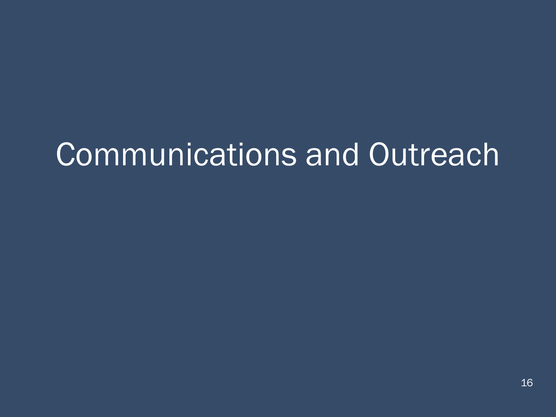## Communications and Outreach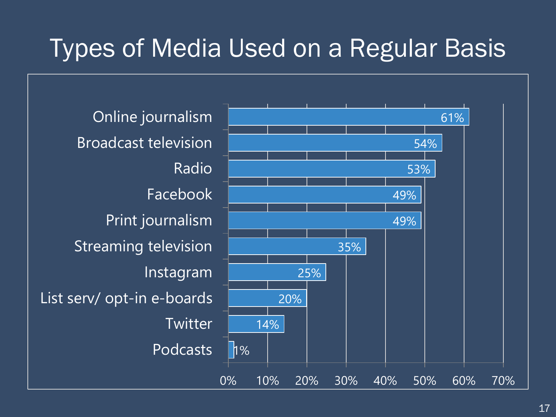### Types of Media Used on a Regular Basis

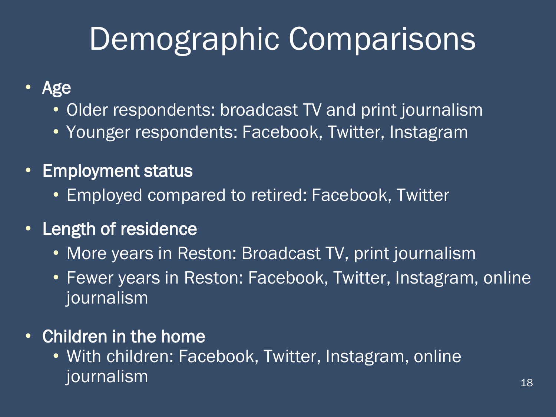## Demographic Comparisons

- Age
	- Older respondents: broadcast TV and print journalism
	- Younger respondents: Facebook, Twitter, Instagram
- Employment status
	- Employed compared to retired: Facebook, Twitter
- Length of residence
	- More years in Reston: Broadcast TV, print journalism
	- Fewer years in Reston: Facebook, Twitter, Instagram, online journalism
- Children in the home
	- With children: Facebook, Twitter, Instagram, online journalism <sup>18</sup>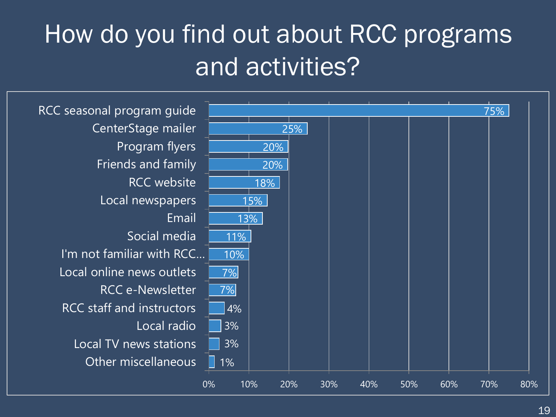### How do you find out about RCC programs and activities?

1% 3% 3% 4% 7% 7% 10% 11% 13% 15% 18% 20% 20% 25% 75% 0% 10% 20% 30% 40% 50% 60% 70% 80% Other miscellaneous Local TV news stations Local radio RCC staff and instructors RCC e-Newsletter Local online news outlets I'm not familiar with RCC… Social media Email Local newspapers RCC website Friends and family Program flyers CenterStage mailer RCC seasonal program guide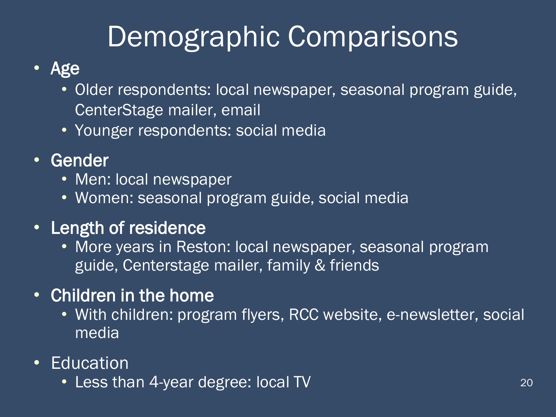### Demographic Comparisons

#### • Age

- Older respondents: local newspaper, seasonal program guide, CenterStage mailer, email
- Younger respondents: social media
- Gender
	- Men: local newspaper
	- Women: seasonal program guide, social media
- Length of residence
	- More years in Reston: local newspaper, seasonal program guide, Centerstage mailer, family & friends
- Children in the home
	- With children: program flyers, RCC website, e-newsletter, social media
- Education
	- Less than 4-year degree: local TV and the contract of the contract of the contract of the contract of the contract of the contract of the contract of the contract of the contract of the contract of the contract of the co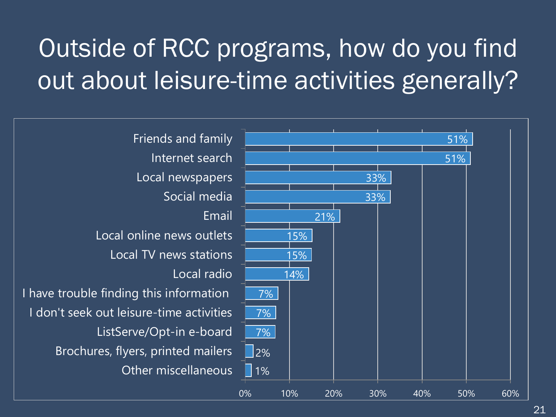### Outside of RCC programs, how do you find out about leisure-time activities generally?

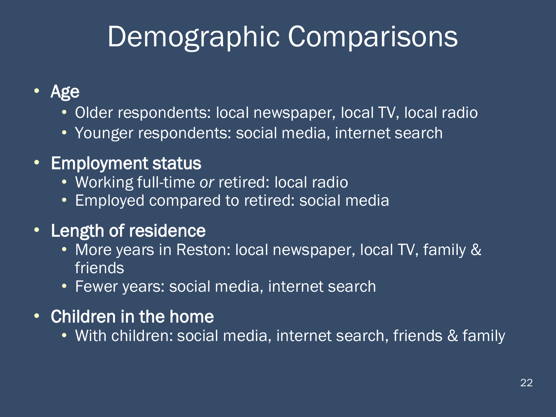### Demographic Comparisons

- Age
	- Older respondents: local newspaper, local TV, local radio
	- Younger respondents: social media, internet search
- Employment status
	- Working full-time *or* retired: local radio
	- Employed compared to retired: social media
- Length of residence
	- More years in Reston: local newspaper, local TV, family & friends
	- Fewer years: social media, internet search
- Children in the home
	- With children: social media, internet search, friends & family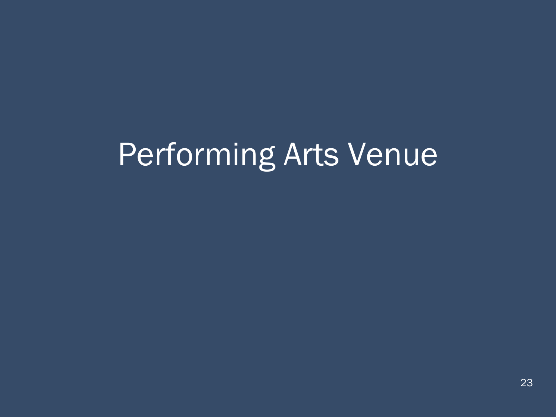# Performing Arts Venue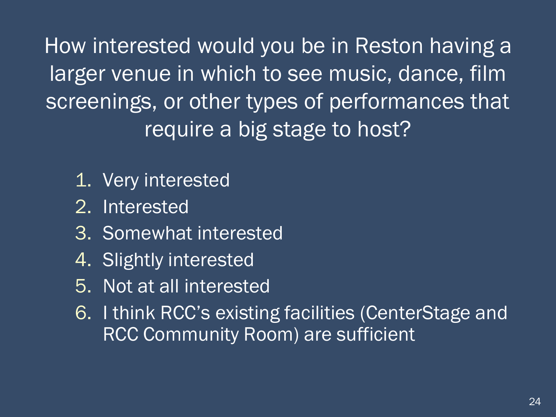How interested would you be in Reston having a larger venue in which to see music, dance, film screenings, or other types of performances that require a big stage to host?

- 1. Very interested
- 2. Interested
- 3. Somewhat interested
- 4. Slightly interested
- 5. Not at all interested
- 6. I think RCC's existing facilities (CenterStage and RCC Community Room) are sufficient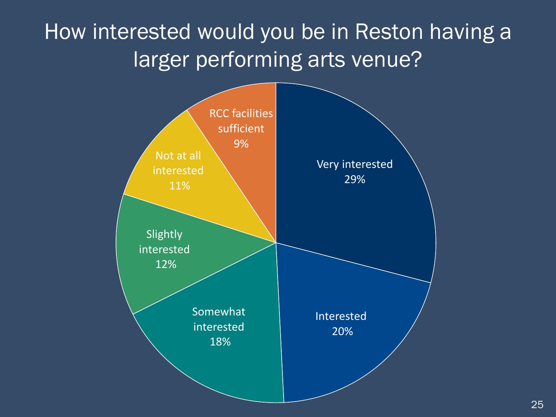### How interested would you be in Reston having a larger performing arts venue?

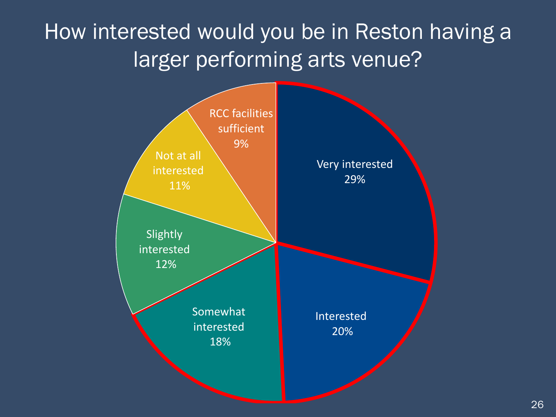### How interested would you be in Reston having a larger performing arts venue?

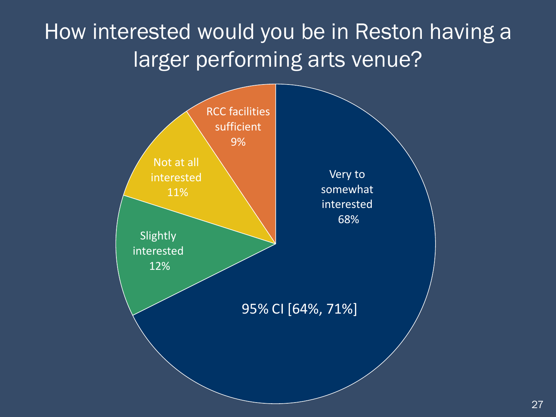### How interested would you be in Reston having a larger performing arts venue?

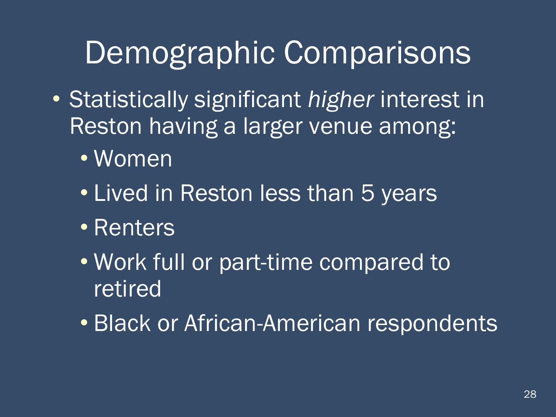### Demographic Comparisons

- Statistically significant *higher* interest in Reston having a larger venue among:
	- Women
	- Lived in Reston less than 5 years
	- Renters
	- Work full or part-time compared to retired
	- Black or African-American respondents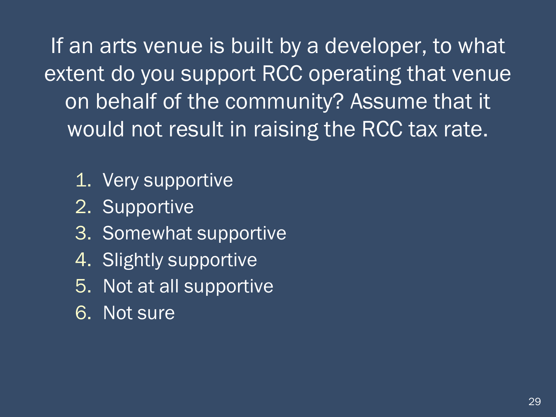If an arts venue is built by a developer, to what extent do you support RCC operating that venue on behalf of the community? Assume that it would not result in raising the RCC tax rate.

- 1. Very supportive
- 2. Supportive
- 3. Somewhat supportive
- 4. Slightly supportive
- 5. Not at all supportive
- 6. Not sure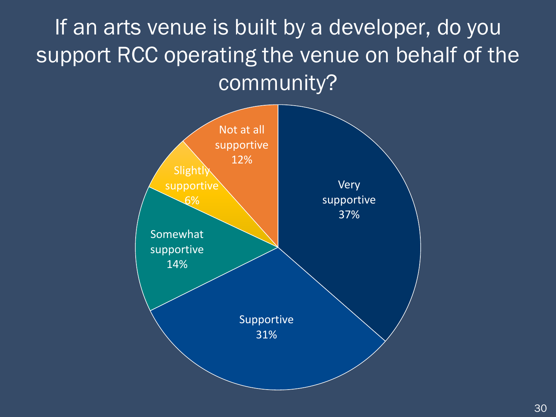If an arts venue is built by a developer, do you support RCC operating the venue on behalf of the community?

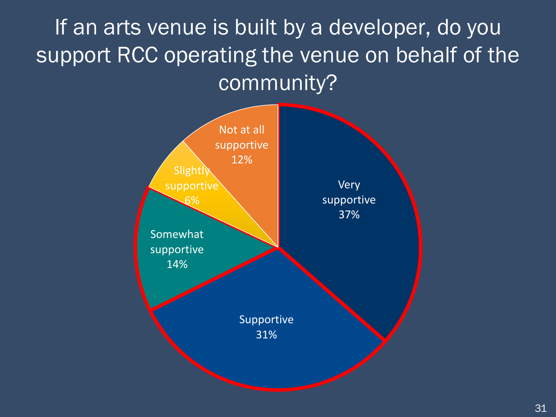If an arts venue is built by a developer, do you support RCC operating the venue on behalf of the community?

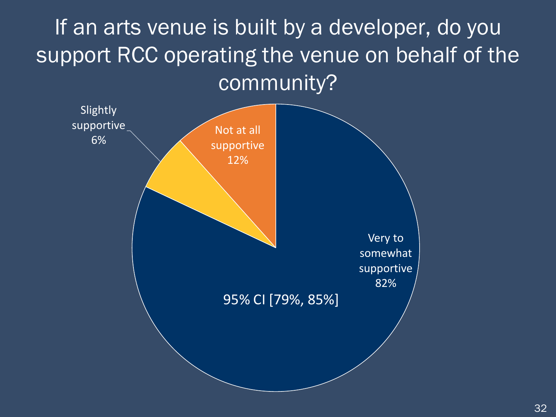If an arts venue is built by a developer, do you support RCC operating the venue on behalf of the community?

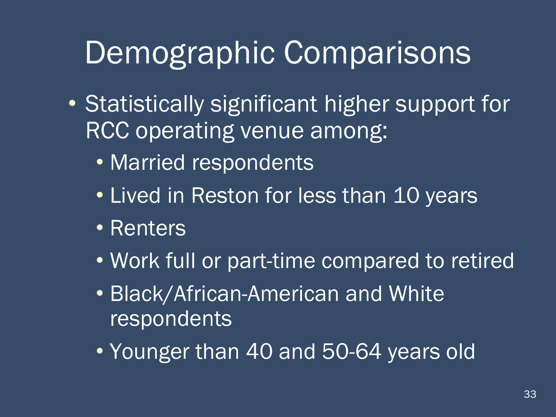### Demographic Comparisons

- Statistically significant higher support for RCC operating venue among:
	- Married respondents
	- Lived in Reston for less than 10 years
	- Renters
	- Work full or part-time compared to retired
	- Black/African-American and White respondents
	- Younger than 40 and 50-64 years old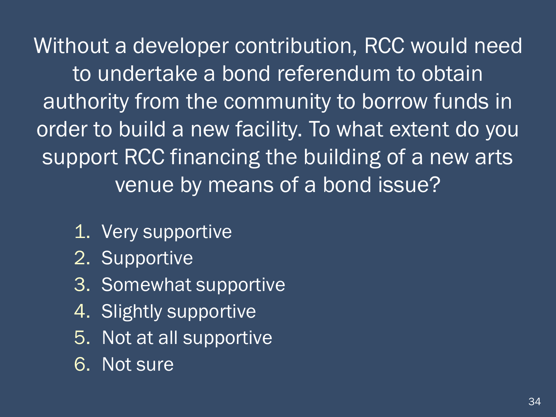Without a developer contribution, RCC would need to undertake a bond referendum to obtain authority from the community to borrow funds in order to build a new facility. To what extent do you support RCC financing the building of a new arts venue by means of a bond issue?

- 1. Very supportive
- 2. Supportive
- 3. Somewhat supportive
- 4. Slightly supportive
- 5. Not at all supportive
- 6. Not sure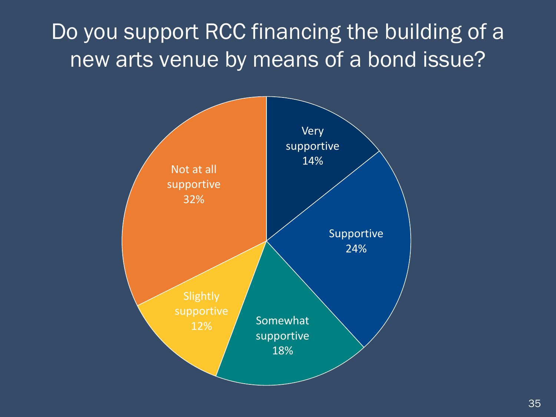Do you support RCC financing the building of a new arts venue by means of a bond issue?

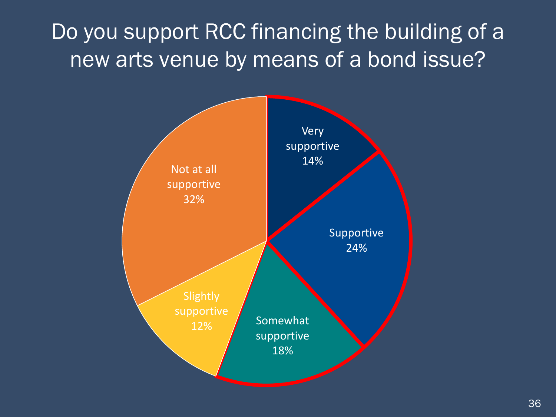Do you support RCC financing the building of a new arts venue by means of a bond issue?

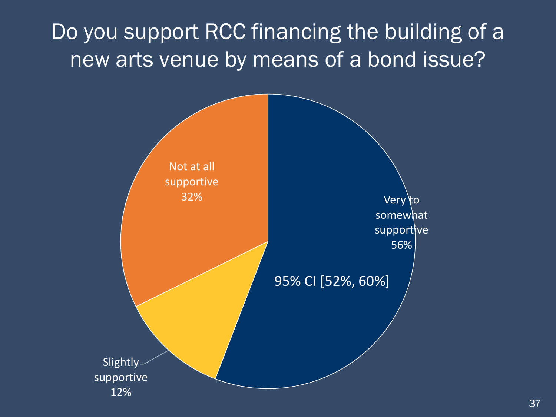### Do you support RCC financing the building of a new arts venue by means of a bond issue?

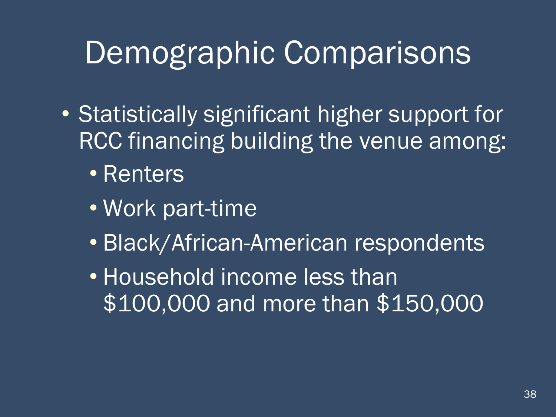### Demographic Comparisons

- Statistically significant higher support for RCC financing building the venue among:
	- Renters
	- Work part-time
	- Black/African-American respondents
	- Household income less than \$100,000 and more than \$150,000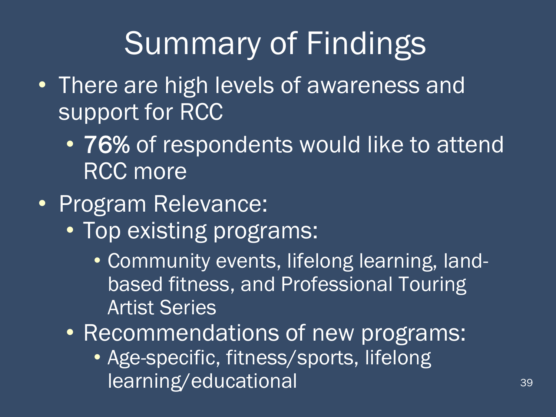- There are high levels of awareness and support for RCC
	- 76% of respondents would like to attend RCC more
- Program Relevance:
	- Top existing programs:
		- Community events, lifelong learning, landbased fitness, and Professional Touring Artist Series
	- Recommendations of new programs:
		- Age-specific, fitness/sports, lifelong learning/educational 39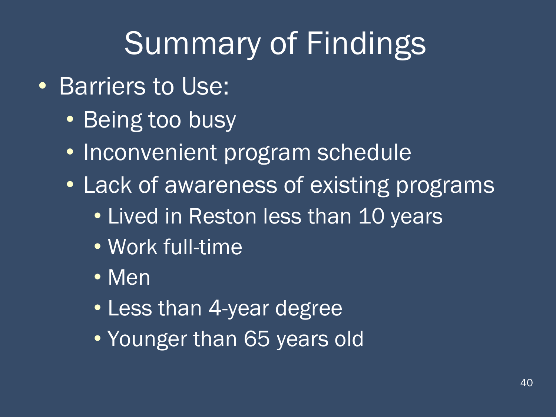- Barriers to Use:
	- Being too busy
	- Inconvenient program schedule
	- Lack of awareness of existing programs
		- Lived in Reston less than 10 years
		- Work full-time
		- Men
		- Less than 4-year degree
		- Younger than 65 years old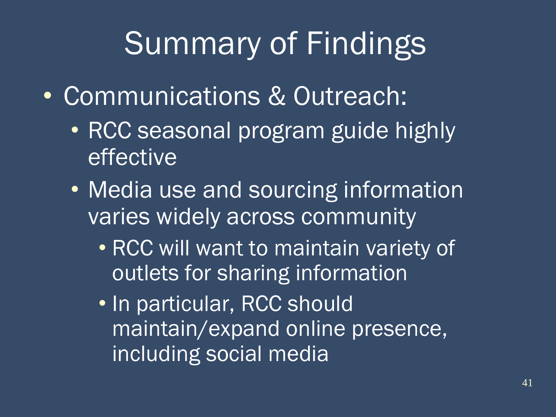- Communications & Outreach:
	- RCC seasonal program guide highly effective
	- Media use and sourcing information varies widely across community
		- RCC will want to maintain variety of outlets for sharing information
		- In particular, RCC should maintain/expand online presence, including social media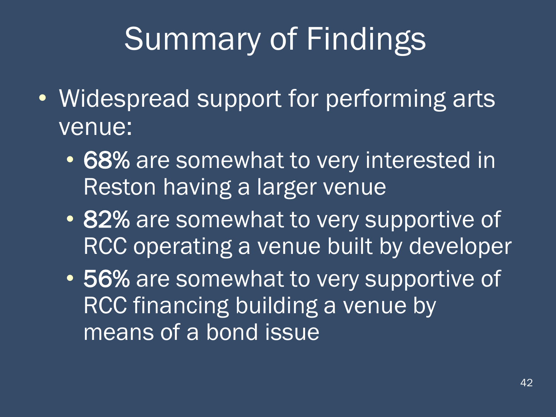- Widespread support for performing arts venue:
	- 68% are somewhat to very interested in Reston having a larger venue
	- 82% are somewhat to very supportive of RCC operating a venue built by developer
	- 56% are somewhat to very supportive of RCC financing building a venue by means of a bond issue